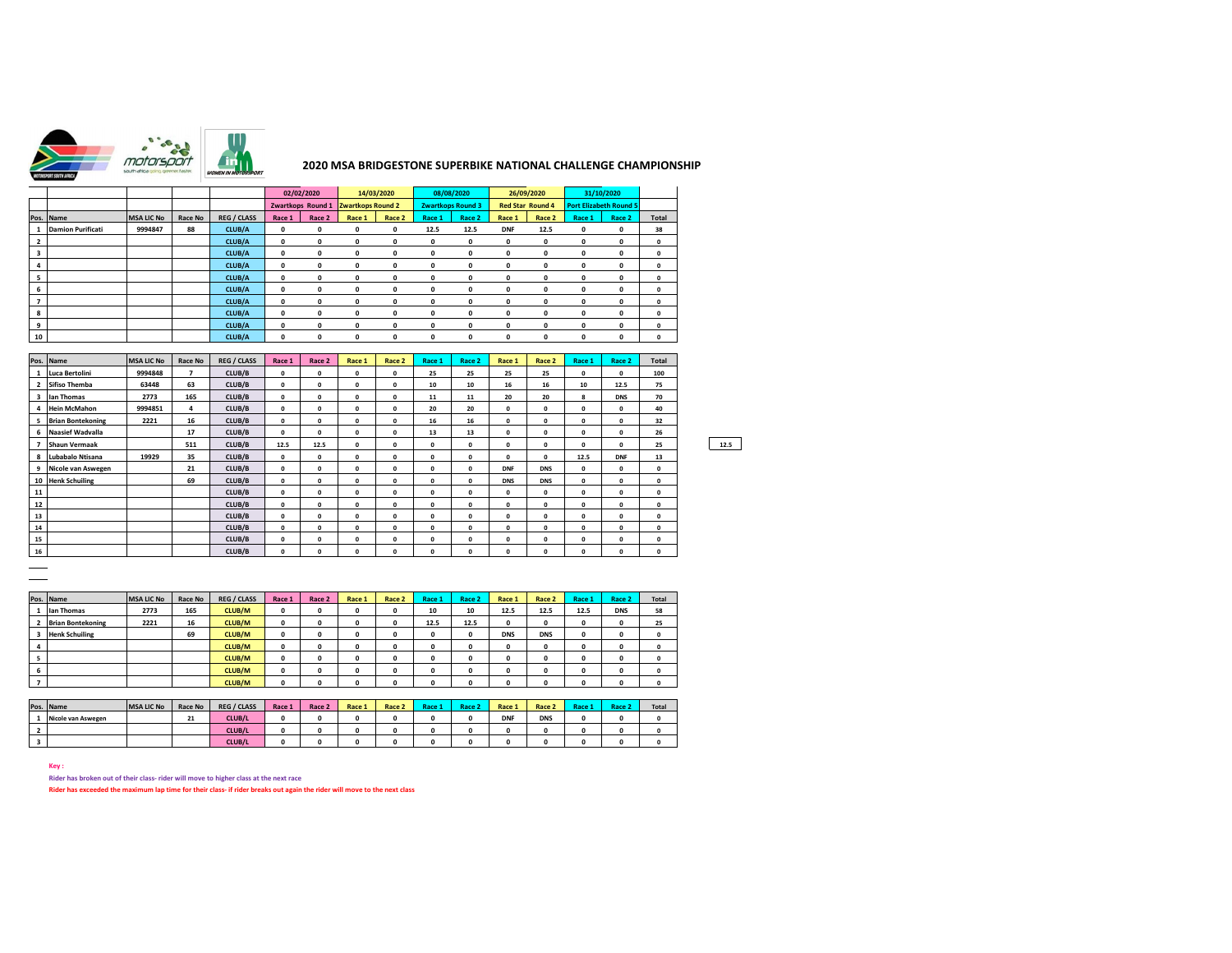

## **2020 MSA BRIDGESTONE SUPERBIKE NATIONAL CHALLENGE CHAMPIONSHIP**

|    |                          |                   |         |                    |              | 02/02/2020        |              | 14/03/2020               |              | 08/08/2020               |                         | 26/09/2020   |             | 31/10/2020                    |              |
|----|--------------------------|-------------------|---------|--------------------|--------------|-------------------|--------------|--------------------------|--------------|--------------------------|-------------------------|--------------|-------------|-------------------------------|--------------|
|    |                          |                   |         |                    |              | Zwartkops Round 1 |              | <b>Zwartkops Round 2</b> |              | <b>Zwartkops Round 3</b> | <b>Red Star Round 4</b> |              |             | <b>Port Elizabeth Round 5</b> |              |
|    | Pos. Name                | <b>MSA LIC No</b> | Race No | <b>REG / CLASS</b> | Race 1       | Race 2            | Race 1       | Race 2                   | Race 1       | Race 2                   | Race 1                  | Race 2       | Race 1      | Race 2                        | Total        |
|    | <b>Damion Purificati</b> | 9994847           | 88      | CLUB/A             | $\mathbf{0}$ | 0                 | $\mathbf{0}$ | $\mathbf 0$              | 12.5         | 12.5                     | <b>DNF</b>              | 12.5         | $\mathbf 0$ | $\mathbf 0$                   | 38           |
| 2  |                          |                   |         | CLUB/A             | $\mathbf{0}$ | $\mathbf{o}$      | $\mathbf{0}$ | $\mathbf{0}$             | $\mathbf{0}$ | 0                        | $\mathbf{o}$            | $\mathbf{o}$ | 0           | 0                             | $\mathbf 0$  |
| 3  |                          |                   |         | CLUB/A             | $\mathbf{0}$ | 0                 | $\Omega$     | $\mathbf{0}$             | $\mathbf{0}$ | 0                        | $\mathbf{0}$            | $\Omega$     | 0           | $\mathbf{o}$                  | $\mathbf{0}$ |
| 4  |                          |                   |         | CLUB/A             | $\mathbf{0}$ | 0                 | $\mathbf{0}$ | $\mathbf{0}$             | 0            | 0                        | 0                       | $\Omega$     | $\Omega$    | $\mathbf 0$                   | $\mathbf{0}$ |
|    |                          |                   |         | CLUB/A             | $\mathbf{0}$ | $\mathbf{o}$      | $\mathbf{0}$ | $\mathbf{0}$             | $\mathbf{0}$ | $\mathbf{0}$             | 0                       | $\Omega$     | $\Omega$    | $\mathbf 0$                   | $\mathbf{0}$ |
| 6  |                          |                   |         | CLUB/A             | $\mathbf{0}$ | $\Omega$          | $\Omega$     | $\Omega$                 | $\mathbf{0}$ | $\mathbf{0}$             | $\Omega$                | $\Omega$     | $\Omega$    | $\Omega$                      | $\mathbf{0}$ |
|    |                          |                   |         | CLUB/A             | $\mathbf{0}$ | $\mathbf{o}$      | $\Omega$     | $\mathbf{0}$             | $\mathbf{0}$ | 0                        | $\Omega$                | $\Omega$     | $\Omega$    | $\Omega$                      | $\mathbf 0$  |
| 8  |                          |                   |         | CLUB/A             | $\mathbf{0}$ | $\mathbf{o}$      | $\Omega$     | $\mathbf{0}$             | $\mathbf{0}$ | 0                        | $\mathbf{0}$            | $\Omega$     | $\Omega$    | $\mathbf 0$                   | $\mathbf{0}$ |
| 9  |                          |                   |         | CLUB/A             | $\mathbf{0}$ | 0                 | 0            | 0                        | 0            | 0                        | 0                       | $\Omega$     | $\Omega$    | $\mathbf 0$                   | $\mathbf{0}$ |
| 10 |                          |                   |         | CLUB/A             | 0            | 0                 | $\mathbf{0}$ | 0                        | 0            | $\mathbf{0}$             | $\mathbf{o}$            | $\Omega$     | $\Omega$    | $\mathbf 0$                   | $\mathbf{0}$ |

|    | Pos. Name                | <b>MSA LIC No</b> | Race No | <b>REG / CLASS</b> | Race 1      | Race 2       | Race 1       | Race 2       | Race 1       | Race 2       | Race 1       | Race 2       | Race 1       | Race 2       | <b>Total</b> |      |
|----|--------------------------|-------------------|---------|--------------------|-------------|--------------|--------------|--------------|--------------|--------------|--------------|--------------|--------------|--------------|--------------|------|
|    | Luca Bertolini           | 9994848           | 7       | CLUB/B             | $\mathbf 0$ | $\Omega$     | $\Omega$     | $\Omega$     | 25           | 25           | 25           | 25           | $\Omega$     | $\Omega$     | 100          |      |
|    | <b>Sifiso Themba</b>     | 63448             | 63      | CLUB/B             | 0           | $\Omega$     | $\Omega$     | $\Omega$     | 10           | 10           | 16           | 16           | 10           | 12.5         | 75           |      |
|    | lan Thomas               | 2773              | 165     | CLUB/B             | 0           | 0            | $\Omega$     | $\mathbf{r}$ | 11           | 11           | 20           | 20           | 8            | <b>DNS</b>   | 70           |      |
|    | <b>Hein McMahon</b>      | 9994851           | 4       | CLUB/B             | $\mathbf 0$ | 0            | $\mathbf{0}$ | $\mathbf{0}$ | 20           | 20           | $\mathbf{0}$ | 0            | $\Omega$     | $\mathbf{0}$ | 40           |      |
|    | <b>Brian Bontekoning</b> | 2221              | 16      | CLUB/B             | $\mathbf 0$ | $\Omega$     | $\Omega$     | $\Omega$     | 16           | 16           | $\Omega$     | 0            | $\Omega$     | $\Omega$     | 32           |      |
| 6  | Naasief Wadvalla         |                   | 17      | CLUB/B             | 0           | $\Omega$     | $\Omega$     | $\Omega$     | 13           | 13           | $\mathbf{0}$ | 0            | $\Omega$     | $\Omega$     | 26           |      |
|    | <b>Shaun Vermaak</b>     |                   | 511     | CLUB/B             | 12.5        | 12.5         | $\Omega$     | $\mathbf{0}$ | 0            | $\Omega$     | $\mathbf{r}$ | $\mathbf{r}$ | $\mathbf{a}$ | $\Omega$     | 25           | 12.5 |
| 8  | Lubabalo Ntisana         | 19929             | 35      | CLUB/B             | 0           | 0            | $\Omega$     | $\Omega$     | $\Omega$     | $\Omega$     | $\Omega$     | 0            | 12.5         | <b>DNF</b>   | 13           |      |
| 9  | Nicole van Aswegen       |                   | 21      | CLUB/B             | $\Omega$    | $\Omega$     | $\Omega$     | $\Omega$     | $\Omega$     | $\Omega$     | <b>DNF</b>   | <b>DNS</b>   | $\Omega$     | $\Omega$     | $\mathbf 0$  |      |
| 10 | <b>Henk Schuiling</b>    |                   | 69      | CLUB/B             | 0           | $\Omega$     | $\Omega$     | $\Omega$     | 0            | $\Omega$     | <b>DNS</b>   | <b>DNS</b>   | $\Omega$     | $\Omega$     | $\mathbf{0}$ |      |
| 11 |                          |                   |         | CLUB/B             | 0           | $\Omega$     | $\Omega$     | $\Omega$     | 0            | $\Omega$     | $\Omega$     | $\Omega$     | $\Omega$     | $\Omega$     | $\Omega$     |      |
| 12 |                          |                   |         | CLUB/B             | 0           | $\Omega$     | $\Omega$     | $\Omega$     | 0            | $\Omega$     | $\Omega$     | $\Omega$     | $\Omega$     | $\Omega$     | $\mathbf{0}$ |      |
| 13 |                          |                   |         | CLUB/B             | $\mathbf 0$ | $\mathbf 0$  | $\mathbf{0}$ | $\mathbf 0$  | 0            | $\mathbf{0}$ | $\Omega$     | $\Omega$     | 0            | $\mathbf{o}$ | $\mathbf{0}$ |      |
| 14 |                          |                   |         | CLUB/B             | $\mathbf 0$ | $\Omega$     | $\Omega$     | $\Omega$     | $\Omega$     | $\Omega$     | $\Omega$     | $\Omega$     | $\Omega$     | $\Omega$     | $\mathbf{0}$ |      |
| 15 |                          |                   |         | CLUB/B             | 0           | $\mathbf{a}$ | $\Omega$     | $\mathbf{0}$ | $\mathbf{r}$ | $\Omega$     | $\mathbf{r}$ | $\mathbf{r}$ | $\mathbf{r}$ | $\mathbf{r}$ | $\Omega$     |      |
| 16 |                          |                   |         | CLUB/B             | 0           | $\Omega$     | $\Omega$     | $\Omega$     | O            | $\Omega$     | $\Omega$     | $\Omega$     | $\Omega$     | $\Omega$     | $\mathbf{0}$ |      |

|                               | Pos. Name                | <b>MSA LIC No</b> | Race No | <b>REG / CLASS</b> | Race 1 | Race 2 | Race 1       | Race 2 | Race 1 | Race 2 | Race 1     | Race 2      | Race 1 | Race 2       | <b>Total</b> |
|-------------------------------|--------------------------|-------------------|---------|--------------------|--------|--------|--------------|--------|--------|--------|------------|-------------|--------|--------------|--------------|
|                               | lan Thomas               | 2773              | 165     | CLUB/M             | 0      | 0      | $\mathbf{0}$ | 0      | 10     | 10     | 12.5       | 12.5        | 12.5   | <b>DNS</b>   | 58           |
|                               | <b>Brian Bontekoning</b> | 2221              | 16      | <b>CLUB/M</b>      | 0      | o      | 0            | 0      | 12.5   | 12.5   | 0          | $\mathbf 0$ |        | $\mathbf 0$  | 25           |
|                               | <b>Henk Schuiling</b>    |                   | 69      | CLUB/M             | 0      |        | 0            | 0      | o      |        | <b>DNS</b> | <b>DNS</b>  |        | $\mathbf 0$  | 0            |
|                               |                          |                   |         | CLUB/M             | 0      | o      | 0            | 0      | o      |        |            | 0           |        | $\mathbf{o}$ | o            |
|                               |                          |                   |         | <b>CLUB/M</b>      | 0      |        | 0            | 0      | 0      |        |            | $\mathbf 0$ |        | $\mathbf 0$  | 0            |
| $\overline{\phantom{a}}$<br>ь |                          |                   |         | CLUB/M             | 0      | n      | 0            | 0      | 0      | o      |            | $\mathbf 0$ |        | $\mathbf 0$  |              |
|                               |                          |                   |         | <b>CLUB/M</b>      | 0      |        | 0            | 0      | ш      |        |            | 0           |        | $\Omega$     |              |

| Pos. Name          | <b>MSA LIC No</b> | Race No | <b>REG / CLASS</b> | Race 1 | Race 2 | Race 1 | Race 2 | Race . | Race 2 | Race 1     | Race 2     | Race 1 | Race 2 | <b>Total</b> |
|--------------------|-------------------|---------|--------------------|--------|--------|--------|--------|--------|--------|------------|------------|--------|--------|--------------|
| Nicole van Aswegen |                   | 21      | <b>CLUB/L</b>      |        |        |        |        |        |        | <b>DNF</b> | <b>DNS</b> |        |        |              |
|                    |                   |         | CLUB/L             |        |        |        |        |        |        |            |            |        |        |              |
|                    |                   |         | CLUB/L             |        |        |        |        |        |        |            |            |        |        |              |

**Key :**

**Rider has broken out of their class- rider will move to higher class at the next race Rider has exceeded the maximum lap time for their class- if rider breaks out again the rider will move to the next class**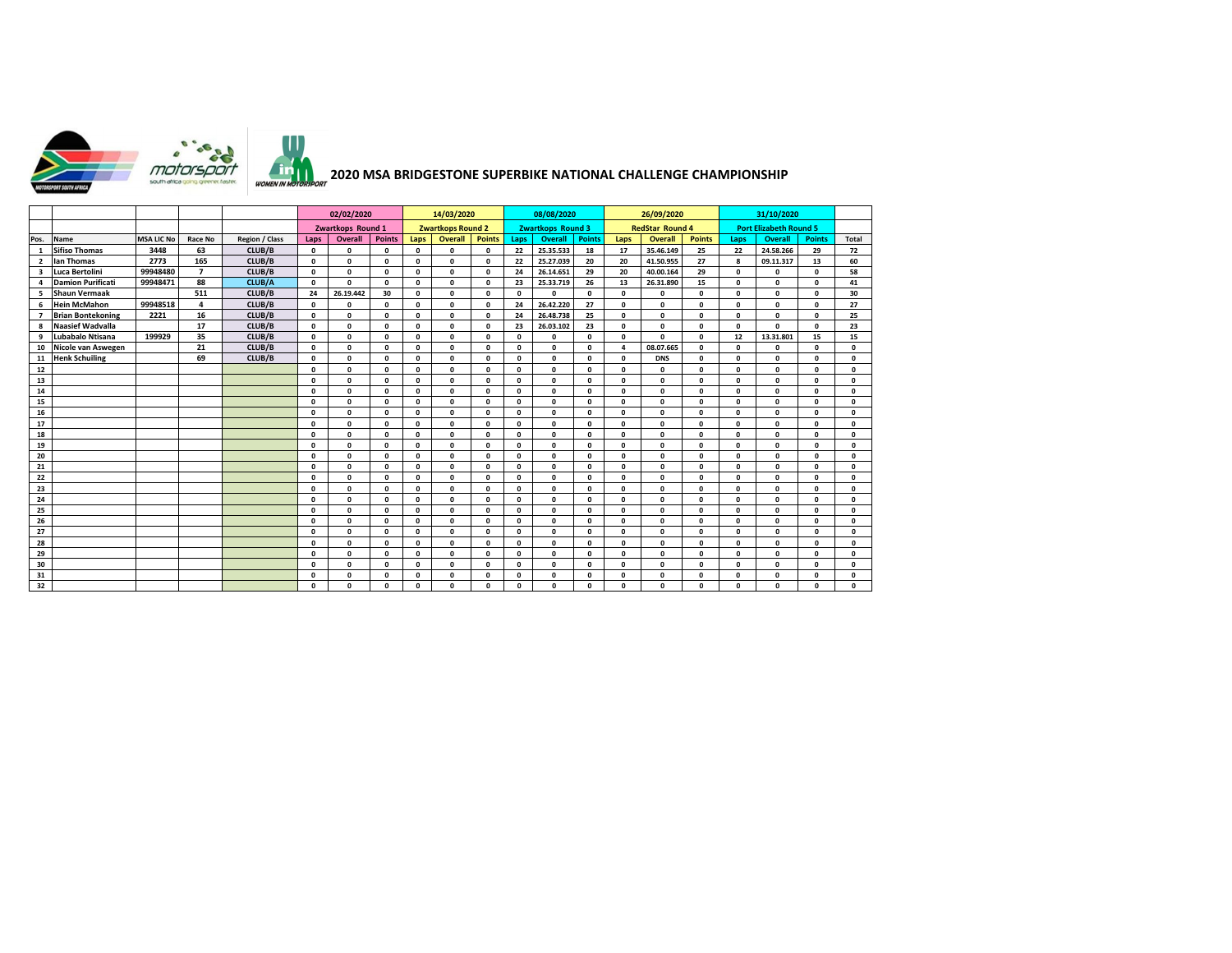

## **2020 MSA BRIDGESTONE SUPERBIKE NATIONAL CHALLENGE CHAMPIONSHIP**

|                         |                          |                   |                         |                |              | 02/02/2020        |               | 14/03/2020   |                          |               |              | 08/08/2020               |               |              | 26/09/2020             |               |              | 31/10/2020                    |               |              |
|-------------------------|--------------------------|-------------------|-------------------------|----------------|--------------|-------------------|---------------|--------------|--------------------------|---------------|--------------|--------------------------|---------------|--------------|------------------------|---------------|--------------|-------------------------------|---------------|--------------|
|                         |                          |                   |                         |                |              | Zwartkops Round 1 |               |              | <b>Zwartkops Round 2</b> |               |              | <b>Zwartkops Round 3</b> |               |              | <b>RedStar Round 4</b> |               |              | <b>Port Elizabeth Round 5</b> |               |              |
| Pos.                    | <b>Name</b>              | <b>MSA LIC No</b> | <b>Race No</b>          | Region / Class | Laps         | Overall           | <b>Points</b> | Laps         | Overall                  | <b>Points</b> | Laps         | Overall                  | <b>Points</b> | Laps         | Overall                | <b>Points</b> | Laps         | <b>Overall</b>                | <b>Points</b> | Total        |
|                         | <b>Sifiso Thomas</b>     | 3448              | 63                      | CLUB/B         | $\Omega$     | $\Omega$          | $\mathbf{a}$  | $\mathbf{0}$ | $\Omega$                 | $\Omega$      | 22           | 25.35.533                | 18            | 17           | 35.46.149              | 25            | 22           | 24.58.266                     | 29            | 72           |
| $\overline{2}$          | lan Thomas               | 2773              | 165                     | CLUB/B         | $\Omega$     | 0                 | $\Omega$      | $\Omega$     | $\Omega$                 | $\mathbf 0$   | 22           | 25.27.039                | 20            | 20           | 41.50.955              | 27            | 8            | 09.11.317                     | 13            | 60           |
| $\overline{\mathbf{3}}$ | Luca Bertolini           | 99948480          | $\overline{7}$          | CLUB/B         | $\Omega$     | $\mathbf 0$       | $\Omega$      | $\mathbf{0}$ | $\Omega$                 | $\Omega$      | 24           | 26.14.651                | 29            | 20           | 40.00.164              | 29            | $\Omega$     | $\mathbf{0}$                  | 0             | 58           |
|                         | <b>Damion Purificati</b> | 99948471          | 88                      | CLUB/A         | $\Omega$     | $\Omega$          | $\Omega$      | $\mathbf{0}$ | $\Omega$                 | $\Omega$      | 23           | 25.33.719                | 26            | 13           | 26.31.890              | 15            | $\Omega$     | $\mathbf{0}$                  | 0             | 41           |
| 5                       | <b>Shaun Vermaak</b>     |                   | 511                     | CLUB/B         | 24           | 26.19.442         | 30            | $\mathbf{0}$ | $\Omega$                 | $\Omega$      | $\Omega$     | $\mathbf{0}$             | 0             | 0            | 0                      | $\mathbf{0}$  | $\Omega$     | $\mathbf{0}$                  | 0             | 30           |
| 6                       | <b>Hein McMahon</b>      | 99948518          | $\overline{\mathbf{4}}$ | CLUB/B         | $\mathbf 0$  | $\Omega$          | $\Omega$      | $\Omega$     | $\Omega$                 | $\Omega$      | 24           | 26.42.220                | 27            | $\Omega$     | 0                      | $\Omega$      | $\Omega$     | $\mathbf{0}$                  | 0             | 27           |
| $\overline{7}$          | <b>Brian Bontekoning</b> | 2221              | 16                      | CLUB/B         | $\Omega$     | $\Omega$          | $\Omega$      | $\Omega$     | $\Omega$                 | $\Omega$      | 24           | 26.48.738                | 25            | $\Omega$     | 0                      | $\Omega$      | $\Omega$     | $\Omega$                      | $\Omega$      | 25           |
| 8                       | <b>Naasief Wadvalla</b>  |                   | 17                      | CLUB/B         | $\mathbf 0$  | 0                 | $\Omega$      | $\mathbf{0}$ | $\Omega$                 | $\Omega$      | 23           | 26.03.102                | 23            | 0            | 0                      | $\mathbf{0}$  | $\Omega$     | $\mathbf{0}$                  | $\Omega$      | 23           |
| 9                       | Lubabalo Ntisana         | 199929            | 35                      | CLUB/B         | $\Omega$     | $\mathbf 0$       | $\Omega$      | $\mathbf{0}$ | $\Omega$                 | $\Omega$      | $\mathbf{o}$ | $\Omega$                 | 0             | 0            | 0                      | $\mathbf{0}$  | 12           | 13.31.801                     | 15            | 15           |
| 10                      | Nicole van Aswegen       |                   | 21                      | CLUB/B         | $\Omega$     | $\mathbf{0}$      | $\Omega$      | $\mathbf{0}$ | $\Omega$                 | $\Omega$      | $\Omega$     | $\Omega$                 | $\Omega$      | 4            | 08.07.665              | $\mathbf{0}$  | $\Omega$     | $\mathbf{0}$                  | $\Omega$      | $\mathbf 0$  |
| 11                      | <b>Henk Schuiling</b>    |                   | 69                      | CLUB/B         | $\mathbf 0$  | 0                 | $\Omega$      | $\Omega$     | $\Omega$                 | $\mathbf 0$   | $\mathbf 0$  | $\mathbf{0}$             | $\Omega$      | 0            | <b>DNS</b>             | $\Omega$      | $\mathbf{0}$ | $\mathbf{0}$                  | $\Omega$      | $\mathbf 0$  |
| 12                      |                          |                   |                         |                | $\Omega$     | $\mathbf 0$       | $\Omega$      | $\mathbf{0}$ | $\Omega$                 | $\Omega$      | $\Omega$     | $\mathbf{0}$             | $\Omega$      | $\Omega$     | $\mathbf 0$            | $\Omega$      | $\Omega$     | $\mathbf{0}$                  | 0             | $\mathbf{0}$ |
| 13                      |                          |                   |                         |                | $\Omega$     | $\mathbf 0$       | $\Omega$      | $\mathbf{0}$ | $\Omega$                 | $\Omega$      | $\Omega$     | $\mathbf{0}$             | $\Omega$      | $\mathbf{0}$ | 0                      | $\Omega$      | $\Omega$     | $\mathbf{0}$                  | 0             | $\Omega$     |
| 14                      |                          |                   |                         |                | $\Omega$     | 0                 | $\Omega$      | $\mathbf{0}$ | $\Omega$                 | $\Omega$      | $\Omega$     | $\mathbf{0}$             | $\Omega$      | 0            | 0                      | $\mathbf 0$   | $\Omega$     | $\mathbf{0}$                  | $\Omega$      | $\mathbf 0$  |
| 15                      |                          |                   |                         |                | $\Omega$     | 0                 | $\Omega$      | $\Omega$     | $\Omega$                 | $\Omega$      | $\Omega$     | $\mathbf{0}$             | $\Omega$      | $\Omega$     | 0                      | $\Omega$      | $\Omega$     | $\mathbf{0}$                  | 0             | $\mathbf 0$  |
| 16                      |                          |                   |                         |                | $\Omega$     | $\mathbf 0$       | $\Omega$      | $\mathbf{0}$ | $\mathbf{0}$             | $\Omega$      | $\Omega$     | $\Omega$                 | $\Omega$      | $\Omega$     | 0                      | $\Omega$      | $\Omega$     | $\mathbf{0}$                  | $\Omega$      | $\mathbf{0}$ |
| 17                      |                          |                   |                         |                | $\Omega$     | 0                 | $\Omega$      | $\mathbf{0}$ | $\Omega$                 | $\Omega$      | $\Omega$     | $\Omega$                 | $\Omega$      | $\Omega$     | 0                      | $\Omega$      | $\Omega$     | $\mathbf{0}$                  | $\Omega$      | $\mathbf{0}$ |
| 18                      |                          |                   |                         |                | $\Omega$     | $\mathbf 0$       | $\Omega$      | $\mathbf{0}$ | $\Omega$                 | $\Omega$      | $\Omega$     | $\Omega$                 | $\Omega$      | 0            | $\mathbf 0$            | $\Omega$      | $\Omega$     | $\mathbf{0}$                  | $\Omega$      | $\Omega$     |
| 19                      |                          |                   |                         |                | $\Omega$     | $\mathbf 0$       | $\Omega$      | $\Omega$     | $\Omega$                 | $\Omega$      | $\Omega$     | $\mathbf{0}$             | $\Omega$      | $\Omega$     | $\mathbf 0$            | $\Omega$      | $\Omega$     | $\mathbf 0$                   | $\Omega$      | $\Omega$     |
| 20                      |                          |                   |                         |                | $\Omega$     | 0                 | $\Omega$      | $\Omega$     | $\Omega$                 | $\Omega$      | $\Omega$     | $\mathbf{0}$             | $\Omega$      | $\Omega$     | $\mathbf 0$            | $\Omega$      | $\Omega$     | $\Omega$                      | $\Omega$      | $\Omega$     |
| 21                      |                          |                   |                         |                | $\mathbf 0$  | $\mathbf 0$       | $\Omega$      | $\mathbf{0}$ | $\Omega$                 | $\Omega$      | $\Omega$     | $\mathbf{0}$             | $\Omega$      | $\Omega$     | 0                      | $\Omega$      | $\Omega$     | $\mathbf{0}$                  | 0             | $\mathbf{0}$ |
| 22                      |                          |                   |                         |                | $\Omega$     | $\mathbf 0$       | $\Omega$      | $\mathbf{0}$ | $\Omega$                 | $\Omega$      | $\Omega$     | $\mathbf{0}$             | $\Omega$      | $\Omega$     | 0                      | $\Omega$      | $\Omega$     | $\Omega$                      | 0             | $\mathbf 0$  |
| 23                      |                          |                   |                         |                | 0            | 0                 | $\Omega$      | $\mathbf{0}$ | $\Omega$                 | $\mathbf 0$   | $\mathbf 0$  | $\mathbf{0}$             | $\Omega$      | 0            | 0                      | $\mathbf{0}$  | $\mathbf 0$  | $\mathbf{0}$                  | 0             | $\mathbf 0$  |
| 24                      |                          |                   |                         |                | $\Omega$     | 0                 | $\Omega$      | $\Omega$     | $\Omega$                 | $\Omega$      | $\Omega$     | $\Omega$                 | $\Omega$      | $\Omega$     | $\mathbf 0$            | $\Omega$      | $\Omega$     | $\Omega$                      | $\Omega$      | $\Omega$     |
| 25                      |                          |                   |                         |                | $\Omega$     | $\mathbf{0}$      | $\Omega$      | $\mathbf{0}$ | $\mathbf{0}$             | $\Omega$      | $\Omega$     | $\Omega$                 | $\Omega$      | $\Omega$     | $\mathbf 0$            | $\Omega$      | $\Omega$     | $\Omega$                      | $\Omega$      | $\mathbf{0}$ |
| 26                      |                          |                   |                         |                | $\Omega$     | $\mathbf 0$       | $\mathbf{0}$  | $\mathbf{0}$ | $\Omega$                 | $\Omega$      | $\mathbf 0$  | $\Omega$                 | $\Omega$      | $\Omega$     | 0                      | $\Omega$      | $\Omega$     | $\mathbf 0$                   | $\Omega$      | $\Omega$     |
| 27                      |                          |                   |                         |                | $\Omega$     | $\Omega$          | $\Omega$      | $\mathbf{0}$ | $\Omega$                 | $\Omega$      | $\Omega$     | $\mathbf{0}$             | $\Omega$      | $\Omega$     | $\mathbf 0$            | $\Omega$      | $\Omega$     | $\mathbf 0$                   | $\Omega$      | $\Omega$     |
| 28                      |                          |                   |                         |                | $\Omega$     | 0                 | $\mathbf{0}$  | $\mathbf{0}$ | $\Omega$                 | $\Omega$      | $\Omega$     | $\Omega$                 | $\Omega$      | $\Omega$     | 0                      | $\Omega$      | $\Omega$     | $\Omega$                      | $\Omega$      | $\Omega$     |
| 29                      |                          |                   |                         |                | $\Omega$     | 0                 | $\mathbf{a}$  | $\Omega$     | $\Omega$                 | $\mathbf{r}$  | $\Omega$     | $\mathbf{0}$             | $\Omega$      | $\Omega$     | $\mathbf{0}$           | $\Omega$      | $\Omega$     | $\mathbf 0$                   | $\Omega$      | $\mathbf 0$  |
| 30                      |                          |                   |                         |                | $\mathbf{0}$ | $\Omega$          | $\Omega$      | $\mathbf{0}$ | $\Omega$                 | $\Omega$      | $\Omega$     | $\mathbf{0}$             | $\mathbf{0}$  | $\mathbf 0$  | 0                      | $\mathbf{0}$  | $\Omega$     | $\mathbf{0}$                  | 0             | $\mathbf 0$  |
| 31                      |                          |                   |                         |                | $\mathbf{0}$ | $\mathbf 0$       | $\Omega$      | $\mathbf{0}$ | $\Omega$                 | $\Omega$      | $\Omega$     | $\Omega$                 | $\Omega$      | $\Omega$     | 0                      | $\Omega$      | $\Omega$     | $\mathbf{0}$                  | $\Omega$      | $\mathbf{0}$ |
| 32                      |                          |                   |                         |                | $\Omega$     | $\Omega$          | $\Omega$      | $\mathbf{0}$ | $\Omega$                 | $\Omega$      | $\Omega$     | $\Omega$                 | $\Omega$      | $\Omega$     | 0                      | $\Omega$      | $\Omega$     | $\Omega$                      | $\Omega$      | $\mathbf{0}$ |